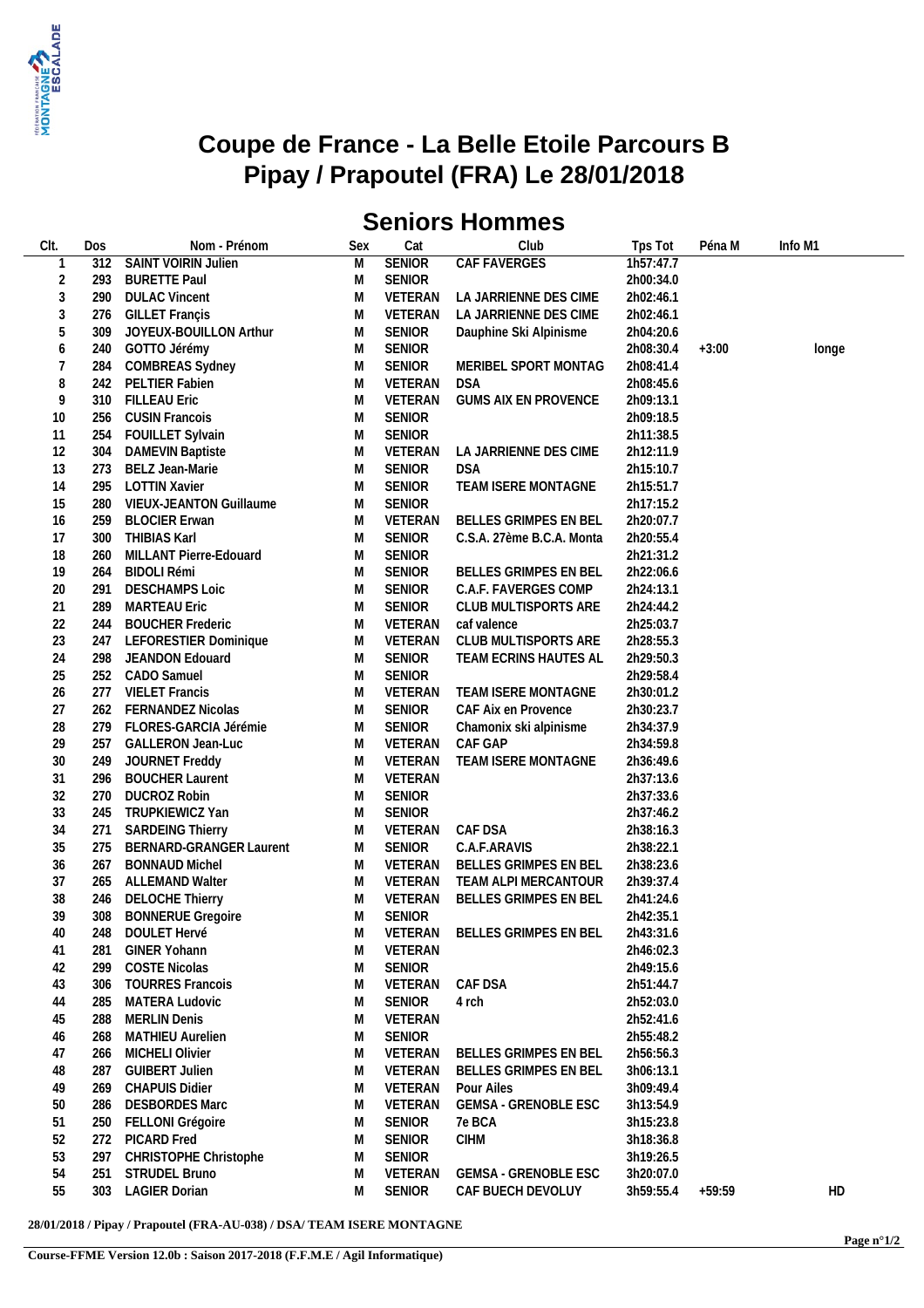

## **Coupe de France - La Belle Etoile Parcours B Pipay / Prapoutel (FRA) Le 28/01/2018**

## **Seniors Hommes**

| CIt.           | Dos | Nom - Prénom             | Sex | Cat             | Club                            | Tps Tot   | Péna M   | Info M1 |
|----------------|-----|--------------------------|-----|-----------------|---------------------------------|-----------|----------|---------|
| 1              | 312 | SAINT VOIRIN Julien      | M   | <b>SENIOR</b>   | CAF FAVERGES                    | 1h57:47.7 |          |         |
| $\overline{2}$ | 293 | <b>BURETTE Paul</b>      | M   | <b>SENIOR</b>   |                                 | 2h00:34.0 |          |         |
| $\mathfrak{Z}$ | 290 | <b>DULAC Vincent</b>     | M   | VETERAN         | LA JARRIENNE DES CIME           | 2h02:46.1 |          |         |
| $\sqrt{3}$     | 276 | <b>GILLET Françis</b>    | M   | VETERAN         | LA JARRIENNE DES CIME           | 2h02:46.1 |          |         |
| 5              | 309 | JOYEUX-BOUILLON Arthur   | M   | <b>SENIOR</b>   | Dauphine Ski Alpinisme          | 2h04:20.6 |          |         |
| 6              | 240 | GOTTO Jérémy             | M   | <b>SENIOR</b>   |                                 | 2h08:30.4 | $+3:00$  | longe   |
| $\overline{7}$ | 284 | <b>COMBREAS Sydney</b>   | M   | <b>SENIOR</b>   | MERIBEL SPORT MONTAG            | 2h08:41.4 |          |         |
| 8              | 242 | PELTIER Fabien           | M   | VETERAN         | DSA                             | 2h08:45.6 |          |         |
| 9              | 310 | <b>FILLEAU Eric</b>      | M   | VETERAN         | <b>GUMS AIX EN PROVENCE</b>     | 2h09:13.1 |          |         |
| 10             | 256 | <b>CUSIN Francois</b>    | M   | <b>SENIOR</b>   |                                 | 2h09:18.5 |          |         |
| 11             | 254 | FOUILLET Sylvain         | M   | <b>SENIOR</b>   |                                 | 2h11:38.5 |          |         |
| 12             | 304 | <b>DAMEVIN Baptiste</b>  | M   | VETERAN         | LA JARRIENNE DES CIME           | 2h12:11.9 |          |         |
| 13             | 273 | BELZ Jean-Marie          | M   | <b>SENIOR</b>   | <b>DSA</b>                      | 2h15:10.7 |          |         |
| 14             | 295 | <b>LOTTIN Xavier</b>     | M   | <b>SENIOR</b>   | TEAM ISERE MONTAGNE             | 2h15:51.7 |          |         |
| 15             | 280 | VIEUX-JEANTON Guillaume  | M   | <b>SENIOR</b>   |                                 | 2h17:15.2 |          |         |
| 16             | 259 | <b>BLOCIER Erwan</b>     | M   | VETERAN         | BELLES GRIMPES EN BEL           | 2h20:07.7 |          |         |
| 17             | 300 | THIBIAS Karl             | M   | <b>SENIOR</b>   | C.S.A. 27ème B.C.A. Monta       | 2h20:55.4 |          |         |
| 18             | 260 | MILLANT Pierre-Edouard   | M   | <b>SENIOR</b>   |                                 | 2h21:31.2 |          |         |
| 19             | 264 | <b>BIDOLI Rémi</b>       | M   | <b>SENIOR</b>   | BELLES GRIMPES EN BEL           | 2h22:06.6 |          |         |
| 20             | 291 | <b>DESCHAMPS Loic</b>    | M   | <b>SENIOR</b>   | C.A.F. FAVERGES COMP            | 2h24:13.1 |          |         |
| 21             | 289 | <b>MARTEAU Eric</b>      | M   | <b>SENIOR</b>   | CLUB MULTISPORTS ARE            | 2h24:44.2 |          |         |
| 22             | 244 | <b>BOUCHER Frederic</b>  | M   | VETERAN         | caf valence                     | 2h25:03.7 |          |         |
| 23             | 247 | LEFORESTIER Dominique    | M   | VETERAN         | CLUB MULTISPORTS ARE            | 2h28:55.3 |          |         |
| 24             | 298 | JEANDON Edouard          | M   | <b>SENIOR</b>   | TEAM ECRINS HAUTES AL           | 2h29:50.3 |          |         |
| 25             | 252 | CADO Samuel              | M   | <b>SENIOR</b>   |                                 | 2h29:58.4 |          |         |
| 26             | 277 | <b>VIELET Francis</b>    | M   | VETERAN         | TEAM ISERE MONTAGNE             | 2h30:01.2 |          |         |
| 27             | 262 | <b>FERNANDEZ Nicolas</b> | M   | SENIOR          | CAF Aix en Provence             | 2h30:23.7 |          |         |
| 28             | 279 | FLORES-GARCIA Jérémie    | M   | <b>SENIOR</b>   | Chamonix ski alpinisme          | 2h34:37.9 |          |         |
| 29             | 257 | <b>GALLERON Jean-Luc</b> | M   | VETERAN         | CAF GAP                         | 2h34:59.8 |          |         |
| $30\,$         | 249 | JOURNET Freddy           | M   | VETERAN         | TEAM ISERE MONTAGNE             | 2h36:49.6 |          |         |
| 31             | 296 | <b>BOUCHER Laurent</b>   | M   | VETERAN         |                                 | 2h37:13.6 |          |         |
| 32             | 270 | <b>DUCROZ Robin</b>      | M   | <b>SENIOR</b>   |                                 | 2h37:33.6 |          |         |
| 33             | 245 | TRUPKIEWICZ Yan          | M   | <b>SENIOR</b>   |                                 | 2h37:46.2 |          |         |
| 34             | 271 | <b>SARDEING Thierry</b>  | M   | VETERAN CAF DSA |                                 | 2h38:16.3 |          |         |
| 35             | 275 | BERNARD-GRANGER Laurent  | M   | SENIOR          | C.A.F.ARAVIS                    | 2h38:22.1 |          |         |
| 36             | 267 | <b>BONNAUD Michel</b>    | M   | VETERAN         | BELLES GRIMPES EN BEL           | 2h38:23.6 |          |         |
| 37             |     | 265 ALLEMAND Walter      | M   |                 | VETERAN TEAM ALPI MERCANTOUR    | 2h39:37.4 |          |         |
| 38             | 246 | <b>DELOCHE Thierry</b>   | M   | VETERAN         | BELLES GRIMPES EN BEL           | 2h41:24.6 |          |         |
| 39             | 308 | <b>BONNERUE Gregoire</b> | M   | <b>SENIOR</b>   |                                 | 2h42:35.1 |          |         |
| 40             |     | 248 DOULET Hervé         |     |                 | M VETERAN BELLES GRIMPES EN BEL | 2h43:31.6 |          |         |
| 41             | 281 | GINER Yohann             | M   | VETERAN         |                                 | 2h46:02.3 |          |         |
| 42             | 299 | <b>COSTE Nicolas</b>     | M   | <b>SENIOR</b>   |                                 | 2h49:15.6 |          |         |
| 43             | 306 | <b>TOURRES Francois</b>  | M   | VETERAN         | CAF DSA                         | 2h51:44.7 |          |         |
| 44             | 285 | <b>MATERA Ludovic</b>    | M   | <b>SENIOR</b>   | 4 rch                           | 2h52:03.0 |          |         |
| 45             | 288 | <b>MERLIN Denis</b>      | M   | VETERAN         |                                 | 2h52:41.6 |          |         |
| 46             | 268 | <b>MATHIEU Aurelien</b>  | M   | <b>SENIOR</b>   |                                 | 2h55:48.2 |          |         |
| 47             | 266 | MICHELI Olivier          | M   | VETERAN         | BELLES GRIMPES EN BEL           | 2h56:56.3 |          |         |
| 48             | 287 | <b>GUIBERT Julien</b>    | M   | VETERAN         | BELLES GRIMPES EN BEL           | 3h06:13.1 |          |         |
| 49             | 269 | <b>CHAPUIS Didier</b>    | M   | VETERAN         | Pour Ailes                      | 3h09:49.4 |          |         |
| 50             | 286 | <b>DESBORDES Marc</b>    | M   | VETERAN         | <b>GEMSA - GRENOBLE ESC</b>     | 3h13:54.9 |          |         |
| 51             | 250 | FELLONI Grégoire         | M   | <b>SENIOR</b>   | 7e BCA                          | 3h15:23.8 |          |         |
| 52             | 272 | PICARD Fred              | M   | <b>SENIOR</b>   | <b>CIHM</b>                     | 3h18:36.8 |          |         |
| 53             | 297 | CHRISTOPHE Christophe    | M   | <b>SENIOR</b>   |                                 | 3h19:26.5 |          |         |
| 54             | 251 | STRUDEL Bruno            | M   | VETERAN         | <b>GEMSA - GRENOBLE ESC</b>     | 3h20:07.0 |          |         |
| 55             | 303 | <b>LAGIER Dorian</b>     | М   | <b>SENIOR</b>   | CAF BUECH DEVOLUY               | 3h59:55.4 | $+59:59$ | HD      |
|                |     |                          |     |                 |                                 |           |          |         |

**28/01/2018 / Pipay / Prapoutel (FRA-AU-038) / DSA/ TEAM ISERE MONTAGNE**